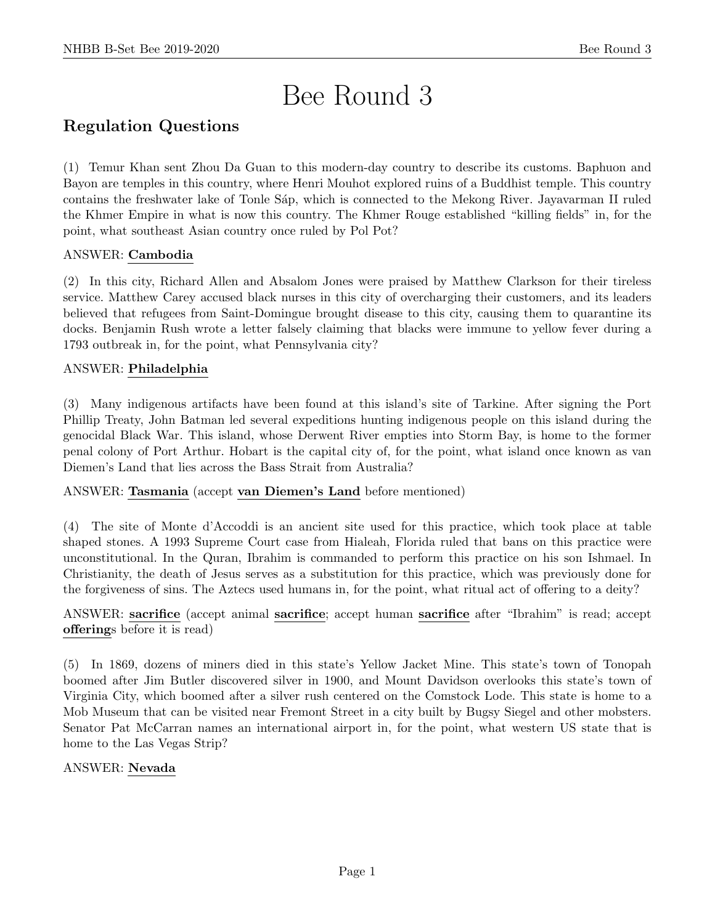# Bee Round 3

# Regulation Questions

(1) Temur Khan sent Zhou Da Guan to this modern-day country to describe its customs. Baphuon and Bayon are temples in this country, where Henri Mouhot explored ruins of a Buddhist temple. This country contains the freshwater lake of Tonle Sap, which is connected to the Mekong River. Jayavarman II ruled the Khmer Empire in what is now this country. The Khmer Rouge established "killing fields" in, for the point, what southeast Asian country once ruled by Pol Pot?

# ANSWER: Cambodia

(2) In this city, Richard Allen and Absalom Jones were praised by Matthew Clarkson for their tireless service. Matthew Carey accused black nurses in this city of overcharging their customers, and its leaders believed that refugees from Saint-Domingue brought disease to this city, causing them to quarantine its docks. Benjamin Rush wrote a letter falsely claiming that blacks were immune to yellow fever during a 1793 outbreak in, for the point, what Pennsylvania city?

# ANSWER: Philadelphia

(3) Many indigenous artifacts have been found at this island's site of Tarkine. After signing the Port Phillip Treaty, John Batman led several expeditions hunting indigenous people on this island during the genocidal Black War. This island, whose Derwent River empties into Storm Bay, is home to the former penal colony of Port Arthur. Hobart is the capital city of, for the point, what island once known as van Diemen's Land that lies across the Bass Strait from Australia?

# ANSWER: Tasmania (accept van Diemen's Land before mentioned)

(4) The site of Monte d'Accoddi is an ancient site used for this practice, which took place at table shaped stones. A 1993 Supreme Court case from Hialeah, Florida ruled that bans on this practice were unconstitutional. In the Quran, Ibrahim is commanded to perform this practice on his son Ishmael. In Christianity, the death of Jesus serves as a substitution for this practice, which was previously done for the forgiveness of sins. The Aztecs used humans in, for the point, what ritual act of offering to a deity?

# ANSWER: sacrifice (accept animal sacrifice; accept human sacrifice after "Ibrahim" is read; accept offerings before it is read)

(5) In 1869, dozens of miners died in this state's Yellow Jacket Mine. This state's town of Tonopah boomed after Jim Butler discovered silver in 1900, and Mount Davidson overlooks this state's town of Virginia City, which boomed after a silver rush centered on the Comstock Lode. This state is home to a Mob Museum that can be visited near Fremont Street in a city built by Bugsy Siegel and other mobsters. Senator Pat McCarran names an international airport in, for the point, what western US state that is home to the Las Vegas Strip?

# ANSWER: Nevada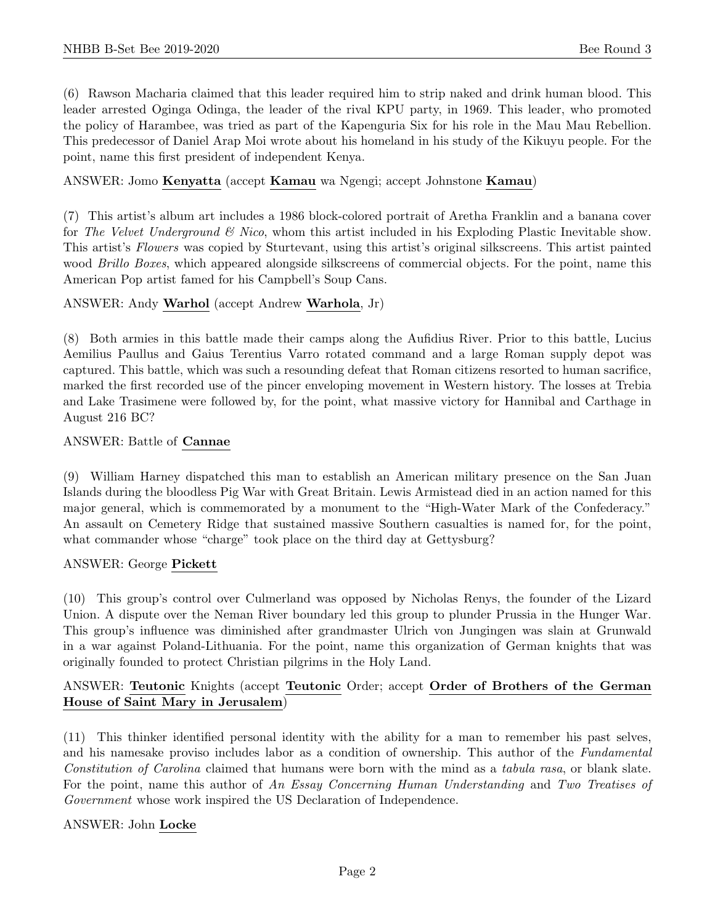(6) Rawson Macharia claimed that this leader required him to strip naked and drink human blood. This leader arrested Oginga Odinga, the leader of the rival KPU party, in 1969. This leader, who promoted the policy of Harambee, was tried as part of the Kapenguria Six for his role in the Mau Mau Rebellion. This predecessor of Daniel Arap Moi wrote about his homeland in his study of the Kikuyu people. For the point, name this first president of independent Kenya.

# ANSWER: Jomo Kenyatta (accept Kamau wa Ngengi; accept Johnstone Kamau)

(7) This artist's album art includes a 1986 block-colored portrait of Aretha Franklin and a banana cover for The Velvet Underground  $\mathcal{B}$  Nico, whom this artist included in his Exploding Plastic Inevitable show. This artist's Flowers was copied by Sturtevant, using this artist's original silkscreens. This artist painted wood *Brillo Boxes*, which appeared alongside silkscreens of commercial objects. For the point, name this American Pop artist famed for his Campbell's Soup Cans.

# ANSWER: Andy Warhol (accept Andrew Warhola, Jr)

(8) Both armies in this battle made their camps along the Aufidius River. Prior to this battle, Lucius Aemilius Paullus and Gaius Terentius Varro rotated command and a large Roman supply depot was captured. This battle, which was such a resounding defeat that Roman citizens resorted to human sacrifice, marked the first recorded use of the pincer enveloping movement in Western history. The losses at Trebia and Lake Trasimene were followed by, for the point, what massive victory for Hannibal and Carthage in August 216 BC?

# ANSWER: Battle of Cannae

(9) William Harney dispatched this man to establish an American military presence on the San Juan Islands during the bloodless Pig War with Great Britain. Lewis Armistead died in an action named for this major general, which is commemorated by a monument to the "High-Water Mark of the Confederacy." An assault on Cemetery Ridge that sustained massive Southern casualties is named for, for the point, what commander whose "charge" took place on the third day at Gettysburg?

#### ANSWER: George Pickett

(10) This group's control over Culmerland was opposed by Nicholas Renys, the founder of the Lizard Union. A dispute over the Neman River boundary led this group to plunder Prussia in the Hunger War. This group's influence was diminished after grandmaster Ulrich von Jungingen was slain at Grunwald in a war against Poland-Lithuania. For the point, name this organization of German knights that was originally founded to protect Christian pilgrims in the Holy Land.

# ANSWER: Teutonic Knights (accept Teutonic Order; accept Order of Brothers of the German House of Saint Mary in Jerusalem)

(11) This thinker identified personal identity with the ability for a man to remember his past selves, and his namesake proviso includes labor as a condition of ownership. This author of the *Fundamental* Constitution of Carolina claimed that humans were born with the mind as a tabula rasa, or blank slate. For the point, name this author of An Essay Concerning Human Understanding and Two Treatises of Government whose work inspired the US Declaration of Independence.

# ANSWER: John Locke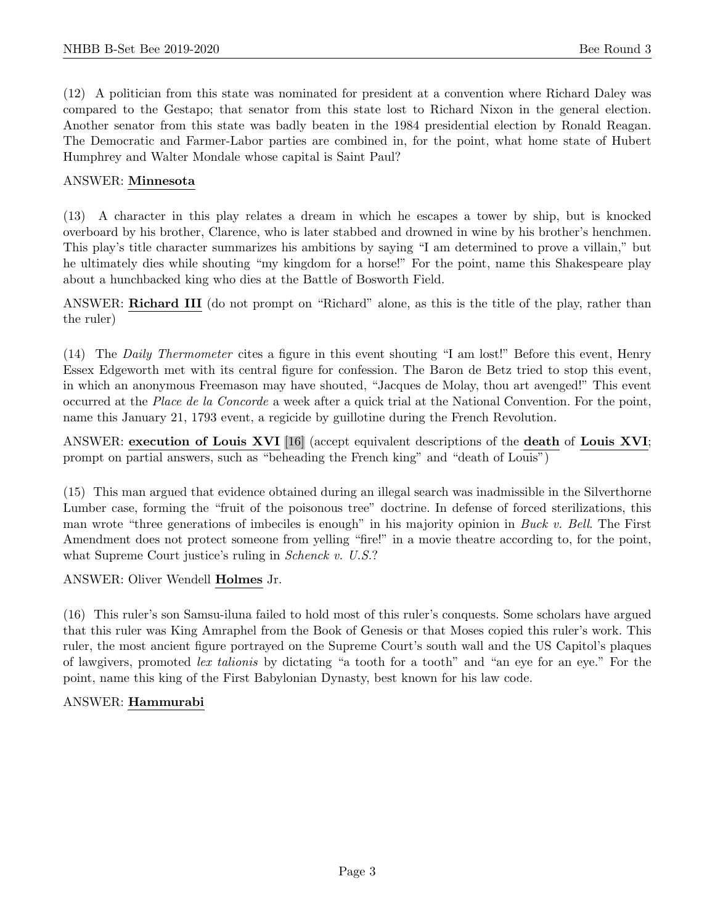(12) A politician from this state was nominated for president at a convention where Richard Daley was compared to the Gestapo; that senator from this state lost to Richard Nixon in the general election. Another senator from this state was badly beaten in the 1984 presidential election by Ronald Reagan. The Democratic and Farmer-Labor parties are combined in, for the point, what home state of Hubert Humphrey and Walter Mondale whose capital is Saint Paul?

# ANSWER: Minnesota

(13) A character in this play relates a dream in which he escapes a tower by ship, but is knocked overboard by his brother, Clarence, who is later stabbed and drowned in wine by his brother's henchmen. This play's title character summarizes his ambitions by saying "I am determined to prove a villain," but he ultimately dies while shouting "my kingdom for a horse!" For the point, name this Shakespeare play about a hunchbacked king who dies at the Battle of Bosworth Field.

ANSWER: Richard III (do not prompt on "Richard" alone, as this is the title of the play, rather than the ruler)

(14) The Daily Thermometer cites a figure in this event shouting "I am lost!" Before this event, Henry Essex Edgeworth met with its central figure for confession. The Baron de Betz tried to stop this event, in which an anonymous Freemason may have shouted, "Jacques de Molay, thou art avenged!" This event occurred at the Place de la Concorde a week after a quick trial at the National Convention. For the point, name this January 21, 1793 event, a regicide by guillotine during the French Revolution.

ANSWER: execution of Louis XVI [16] (accept equivalent descriptions of the death of Louis XVI; prompt on partial answers, such as "beheading the French king" and "death of Louis")

(15) This man argued that evidence obtained during an illegal search was inadmissible in the Silverthorne Lumber case, forming the "fruit of the poisonous tree" doctrine. In defense of forced sterilizations, this man wrote "three generations of imbeciles is enough" in his majority opinion in Buck v. Bell. The First Amendment does not protect someone from yelling "fire!" in a movie theatre according to, for the point, what Supreme Court justice's ruling in *Schenck v. U.S.*?

ANSWER: Oliver Wendell Holmes Jr.

(16) This ruler's son Samsu-iluna failed to hold most of this ruler's conquests. Some scholars have argued that this ruler was King Amraphel from the Book of Genesis or that Moses copied this ruler's work. This ruler, the most ancient figure portrayed on the Supreme Court's south wall and the US Capitol's plaques of lawgivers, promoted lex talionis by dictating "a tooth for a tooth" and "an eye for an eye." For the point, name this king of the First Babylonian Dynasty, best known for his law code.

# ANSWER: Hammurabi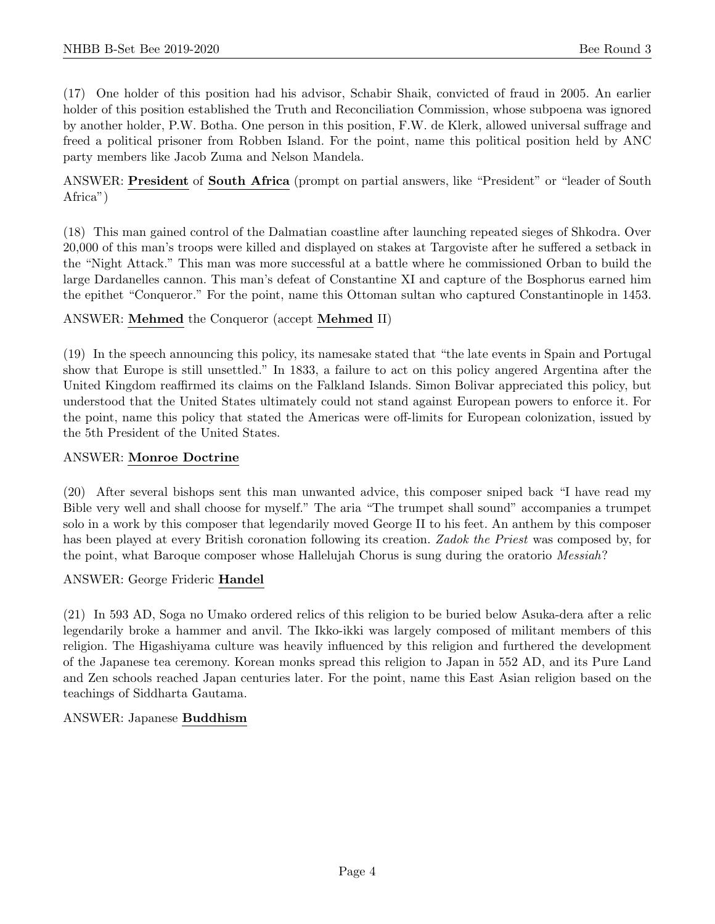(17) One holder of this position had his advisor, Schabir Shaik, convicted of fraud in 2005. An earlier holder of this position established the Truth and Reconciliation Commission, whose subpoena was ignored by another holder, P.W. Botha. One person in this position, F.W. de Klerk, allowed universal suffrage and freed a political prisoner from Robben Island. For the point, name this political position held by ANC party members like Jacob Zuma and Nelson Mandela.

ANSWER: President of South Africa (prompt on partial answers, like "President" or "leader of South Africa")

(18) This man gained control of the Dalmatian coastline after launching repeated sieges of Shkodra. Over 20,000 of this man's troops were killed and displayed on stakes at Targoviste after he suffered a setback in the "Night Attack." This man was more successful at a battle where he commissioned Orban to build the large Dardanelles cannon. This man's defeat of Constantine XI and capture of the Bosphorus earned him the epithet "Conqueror." For the point, name this Ottoman sultan who captured Constantinople in 1453.

# ANSWER: Mehmed the Conqueror (accept Mehmed II)

(19) In the speech announcing this policy, its namesake stated that "the late events in Spain and Portugal show that Europe is still unsettled." In 1833, a failure to act on this policy angered Argentina after the United Kingdom reaffirmed its claims on the Falkland Islands. Simon Bolivar appreciated this policy, but understood that the United States ultimately could not stand against European powers to enforce it. For the point, name this policy that stated the Americas were off-limits for European colonization, issued by the 5th President of the United States.

# ANSWER: Monroe Doctrine

(20) After several bishops sent this man unwanted advice, this composer sniped back "I have read my Bible very well and shall choose for myself." The aria "The trumpet shall sound" accompanies a trumpet solo in a work by this composer that legendarily moved George II to his feet. An anthem by this composer has been played at every British coronation following its creation. Zadok the Priest was composed by, for the point, what Baroque composer whose Hallelujah Chorus is sung during the oratorio Messiah?

# ANSWER: George Frideric Handel

(21) In 593 AD, Soga no Umako ordered relics of this religion to be buried below Asuka-dera after a relic legendarily broke a hammer and anvil. The Ikko-ikki was largely composed of militant members of this religion. The Higashiyama culture was heavily influenced by this religion and furthered the development of the Japanese tea ceremony. Korean monks spread this religion to Japan in 552 AD, and its Pure Land and Zen schools reached Japan centuries later. For the point, name this East Asian religion based on the teachings of Siddharta Gautama.

# ANSWER: Japanese Buddhism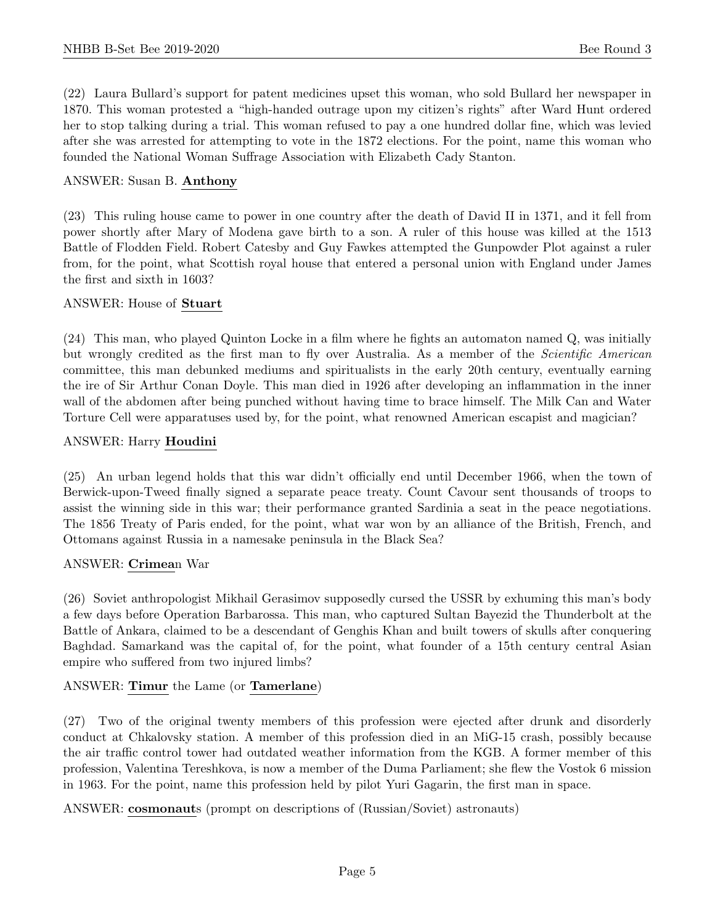(22) Laura Bullard's support for patent medicines upset this woman, who sold Bullard her newspaper in 1870. This woman protested a "high-handed outrage upon my citizen's rights" after Ward Hunt ordered her to stop talking during a trial. This woman refused to pay a one hundred dollar fine, which was levied after she was arrested for attempting to vote in the 1872 elections. For the point, name this woman who founded the National Woman Suffrage Association with Elizabeth Cady Stanton.

# ANSWER: Susan B. Anthony

(23) This ruling house came to power in one country after the death of David II in 1371, and it fell from power shortly after Mary of Modena gave birth to a son. A ruler of this house was killed at the 1513 Battle of Flodden Field. Robert Catesby and Guy Fawkes attempted the Gunpowder Plot against a ruler from, for the point, what Scottish royal house that entered a personal union with England under James the first and sixth in 1603?

#### ANSWER: House of Stuart

(24) This man, who played Quinton Locke in a film where he fights an automaton named Q, was initially but wrongly credited as the first man to fly over Australia. As a member of the *Scientific American* committee, this man debunked mediums and spiritualists in the early 20th century, eventually earning the ire of Sir Arthur Conan Doyle. This man died in 1926 after developing an inflammation in the inner wall of the abdomen after being punched without having time to brace himself. The Milk Can and Water Torture Cell were apparatuses used by, for the point, what renowned American escapist and magician?

# ANSWER: Harry Houdini

(25) An urban legend holds that this war didn't officially end until December 1966, when the town of Berwick-upon-Tweed finally signed a separate peace treaty. Count Cavour sent thousands of troops to assist the winning side in this war; their performance granted Sardinia a seat in the peace negotiations. The 1856 Treaty of Paris ended, for the point, what war won by an alliance of the British, French, and Ottomans against Russia in a namesake peninsula in the Black Sea?

#### ANSWER: Crimean War

(26) Soviet anthropologist Mikhail Gerasimov supposedly cursed the USSR by exhuming this man's body a few days before Operation Barbarossa. This man, who captured Sultan Bayezid the Thunderbolt at the Battle of Ankara, claimed to be a descendant of Genghis Khan and built towers of skulls after conquering Baghdad. Samarkand was the capital of, for the point, what founder of a 15th century central Asian empire who suffered from two injured limbs?

# ANSWER: Timur the Lame (or Tamerlane)

(27) Two of the original twenty members of this profession were ejected after drunk and disorderly conduct at Chkalovsky station. A member of this profession died in an MiG-15 crash, possibly because the air traffic control tower had outdated weather information from the KGB. A former member of this profession, Valentina Tereshkova, is now a member of the Duma Parliament; she flew the Vostok 6 mission in 1963. For the point, name this profession held by pilot Yuri Gagarin, the first man in space.

ANSWER: cosmonauts (prompt on descriptions of (Russian/Soviet) astronauts)